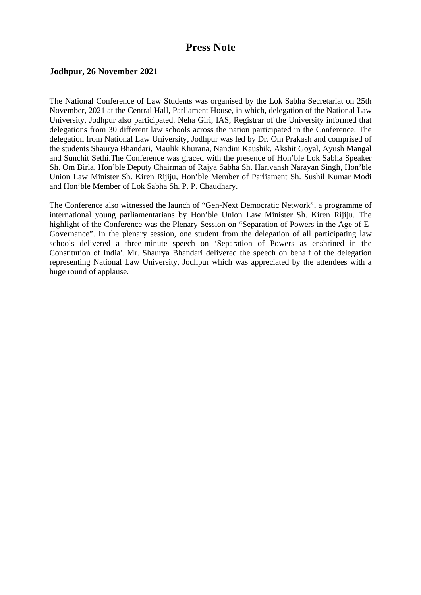## **Press Note**

## **Jodhpur, 26 November 2021**

The National Conference of Law Students was organised by the Lok Sabha Secretariat on 25th November, 2021 at the Central Hall, Parliament House, in which, delegation of the National Law University, Jodhpur also participated. Neha Giri, IAS, Registrar of the University informed that delegations from 30 different law schools across the nation participated in the Conference. The delegation from National Law University, Jodhpur was led by Dr. Om Prakash and comprised of the students Shaurya Bhandari, Maulik Khurana, Nandini Kaushik, Akshit Goyal, Ayush Mangal and Sunchit Sethi.The Conference was graced with the presence of Hon'ble Lok Sabha Speaker Sh. Om Birla, Hon'ble Deputy Chairman of Rajya Sabha Sh. Harivansh Narayan Singh, Hon'ble Union Law Minister Sh. Kiren Rijiju, Hon'ble Member of Parliament Sh. Sushil Kumar Modi and Hon'ble Member of Lok Sabha Sh. P. P. Chaudhary.

The Conference also witnessed the launch of "Gen-Next Democratic Network", a programme of international young parliamentarians by Hon'ble Union Law Minister Sh. Kiren Rijiju. The highlight of the Conference was the Plenary Session on "Separation of Powers in the Age of E-Governance". In the plenary session, one student from the delegation of all participating law schools delivered a three-minute speech on 'Separation of Powers as enshrined in the Constitution of India'. Mr. Shaurya Bhandari delivered the speech on behalf of the delegation representing National Law University, Jodhpur which was appreciated by the attendees with a huge round of applause.